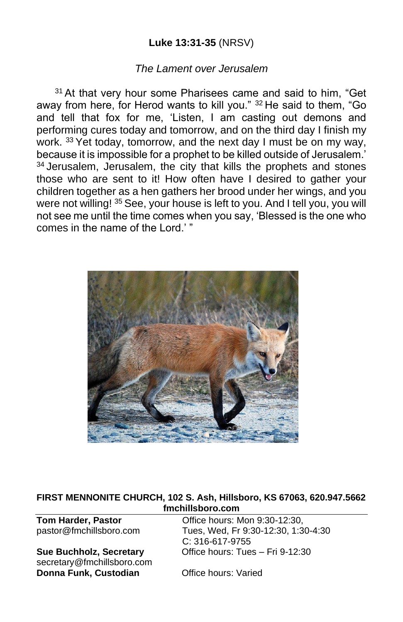## **Luke 13:31-35** (NRSV)

#### *The Lament over Jerusalem*

<sup>31</sup> At that very hour some Pharisees came and said to him, "Get away from here, for Herod wants to kill you." <sup>32</sup> He said to them, "Go and tell that fox for me, 'Listen, I am casting out demons and performing cures today and tomorrow, and on the third day I finish my work. <sup>33</sup> Yet today, tomorrow, and the next day I must be on my way, because it is impossible for a prophet to be killed outside of Jerusalem.'  $34$  Jerusalem, Jerusalem, the city that kills the prophets and stones those who are sent to it! How often have I desired to gather your children together as a hen gathers her brood under her wings, and you were not willing! <sup>35</sup> See, your house is left to you. And I tell you, you will not see me until the time comes when you say, 'Blessed is the one who comes in the name of the Lord.' "



#### **FIRST MENNONITE CHURCH, 102 S. Ash, Hillsboro, KS 67063, 620.947.5662 fmchillsboro.com**

secretary@fmchillsboro.com **Donna Funk, Custodian Office hours: Varied** 

**Tom Harder, Pastor Conservery Conservery Conservery Particle Property Property Particle Property Property Property Property Property Property Property Property Property Property Property Property Property Property Prope** pastor@fmchillsboro.com Tues, Wed, Fr 9:30-12:30, 1:30-4:30 C: 316-617-9755 **Sue Buchholz, Secretary** Office hours: Tues – Fri 9-12:30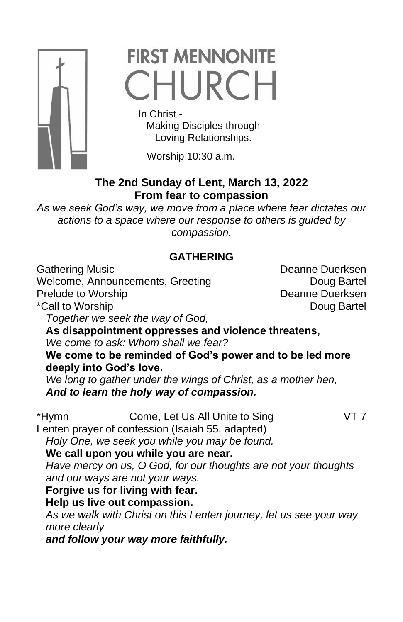

# **FIRST MENNONITE** CHURCH

In Christ -

 Making Disciples through Loving Relationships.

Worship 10:30 a.m.

# **The 2nd Sunday of Lent, March 13, 2022 From fear to compassion**

*As we seek God's way, we move from a place where fear dictates our actions to a space where our response to others is guided by compassion.*

# **GATHERING**

Welcome, Announcements, Greeting **Example 20** Doug Bartel Prelude to Worship **Deanne Duerksen** \*Call to Worship **Doug Bartel** 

*Together we seek the way of God,*

**As disappointment oppresses and violence threatens,** *We come to ask: Whom shall we fear?*

**We come to be reminded of God's power and to be led more deeply into God's love.**

*We long to gather under the wings of Christ, as a mother hen, And to learn the holy way of compassion.*

- \*Hymn Come, Let Us All Unite to Sing VT 7
	-

Lenten prayer of confession (Isaiah 55, adapted)

*Holy One, we seek you while you may be found.*

## **We call upon you while you are near.**

*Have mercy on us, O God, for our thoughts are not your thoughts and our ways are not your ways.*

**Forgive us for living with fear.** 

**Help us live out compassion.**

*As we walk with Christ on this Lenten journey, let us see your way more clearly*

*and follow your way more faithfully.* 

Gathering Music **Communist Communist Communist Communist Communist Communist Communist Communist Communist Communist Communist Communist Communist Communist Communist Communist Communist Communist Communist Communist Commu**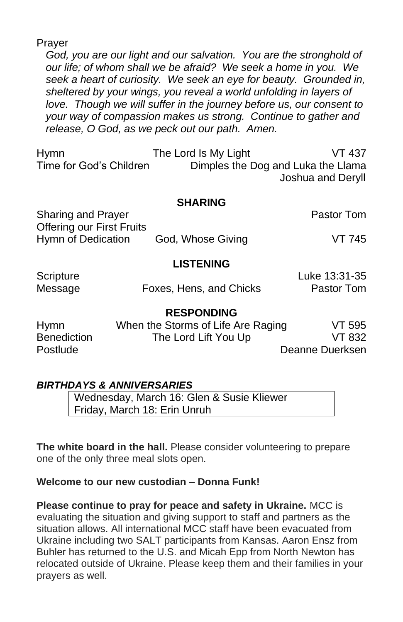Prayer

*God, you are our light and our salvation. You are the stronghold of our life; of whom shall we be afraid? We seek a home in you. We seek a heart of curiosity. We seek an eye for beauty. Grounded in, sheltered by your wings, you reveal a world unfolding in layers of love. Though we will suffer in the journey before us, our consent to your way of compassion makes us strong. Continue to gather and release, O God, as we peck out our path. Amen.*

Hymn The Lord Is My Light VT 437 Time for God's Children Dimples the Dog and Luka the Llama Joshua and Deryll

#### **SHARING**

Sharing and Prayer **Pastor Tom** Offering our First Fruits Hymn of Dedication God, Whose Giving VT 745

#### **LISTENING**

| Scripture |                         | Luke 13:31-35 |
|-----------|-------------------------|---------------|
| Message   | Foxes, Hens, and Chicks | Pastor Tom    |

#### **RESPONDING**

| Hymn        | When the Storms of Life Are Raging | VT 595          |  |
|-------------|------------------------------------|-----------------|--|
| Benediction | The Lord Lift You Up               | VT 832          |  |
| Postlude    |                                    | Deanne Duerksen |  |

## *BIRTHDAYS & ANNIVERSARIES*

Wednesday, March 16: Glen & Susie Kliewer Friday, March 18: Erin Unruh

**The white board in the hall.** Please consider volunteering to prepare one of the only three meal slots open.

## **Welcome to our new custodian – Donna Funk!**

**Please continue to pray for peace and safety in Ukraine.** MCC is evaluating the situation and giving support to staff and partners as the situation allows. All international MCC staff have been evacuated from Ukraine including two SALT participants from Kansas. Aaron Ensz from Buhler has returned to the U.S. and Micah Epp from North Newton has relocated outside of Ukraine. Please keep them and their families in your prayers as well.